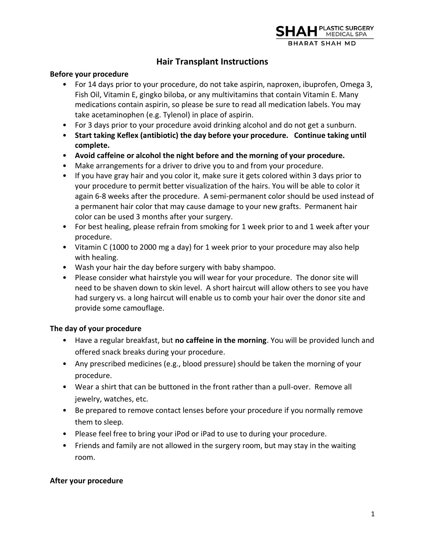# **Hair Transplant Instructions**

### **Before your procedure**

- For 14 days prior to your procedure, do not take aspirin, naproxen, ibuprofen, Omega 3, Fish Oil, Vitamin E, gingko biloba, or any multivitamins that contain Vitamin E. Many medications contain aspirin, so please be sure to read all medication labels. You may take acetaminophen (e.g. Tylenol) in place of aspirin.
- For 3 days prior to your procedure avoid drinking alcohol and do not get a sunburn.
- **Start taking Keflex (antibiotic) the day before your procedure. Continue taking until complete.**
- **Avoid caffeine or alcohol the night before and the morning of your procedure.**
- Make arrangements for a driver to drive you to and from your procedure.
- If you have gray hair and you color it, make sure it gets colored within 3 days prior to your procedure to permit better visualization of the hairs. You will be able to color it again 6-8 weeks after the procedure. A semi-permanent color should be used instead of a permanent hair color that may cause damage to your new grafts. Permanent hair color can be used 3 months after your surgery.
- For best healing, please refrain from smoking for 1 week prior to and 1 week after your procedure.
- Vitamin C (1000 to 2000 mg a day) for 1 week prior to your procedure may also help with healing.
- Wash your hair the day before surgery with baby shampoo.
- Please consider what hairstyle you will wear for your procedure. The donor site will need to be shaven down to skin level. A short haircut will allow others to see you have had surgery vs. a long haircut will enable us to comb your hair over the donor site and provide some camouflage.

### **The day of your procedure**

- Have a regular breakfast, but **no caffeine in the morning**. You will be provided lunch and offered snack breaks during your procedure.
- Any prescribed medicines (e.g., blood pressure) should be taken the morning of your procedure.
- Wear a shirt that can be buttoned in the front rather than a pull-over. Remove all jewelry, watches, etc.
- Be prepared to remove contact lenses before your procedure if you normally remove them to sleep.
- Please feel free to bring your iPod or iPad to use to during your procedure.
- Friends and family are not allowed in the surgery room, but may stay in the waiting room.

### **After your procedure**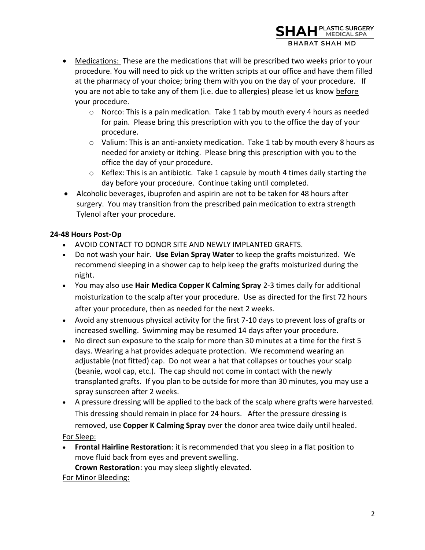

- $\circ$  Norco: This is a pain medication. Take 1 tab by mouth every 4 hours as needed for pain. Please bring this prescription with you to the office the day of your procedure.
- $\circ$  Valium: This is an anti-anxiety medication. Take 1 tab by mouth every 8 hours as needed for anxiety or itching. Please bring this prescription with you to the office the day of your procedure.
- $\circ$  Keflex: This is an antibiotic. Take 1 capsule by mouth 4 times daily starting the day before your procedure. Continue taking until completed.
- Alcoholic beverages, ibuprofen and aspirin are not to be taken for 48 hours after surgery. You may transition from the prescribed pain medication to extra strength Tylenol after your procedure.

## **24-48 Hours Post-Op**

- AVOID CONTACT TO DONOR SITE AND NEWLY IMPLANTED GRAFTS.
- Do not wash your hair. **Use Evian Spray Water** to keep the grafts moisturized. We recommend sleeping in a shower cap to help keep the grafts moisturized during the night.
- You may also use **Hair Medica Copper K Calming Spray** 2-3 times daily for additional moisturization to the scalp after your procedure. Use as directed for the first 72 hours after your procedure, then as needed for the next 2 weeks.
- Avoid any strenuous physical activity for the first 7-10 days to prevent loss of grafts or increased swelling. Swimming may be resumed 14 days after your procedure.
- No direct sun exposure to the scalp for more than 30 minutes at a time for the first 5 days. Wearing a hat provides adequate protection. We recommend wearing an adjustable (not fitted) cap. Do not wear a hat that collapses or touches your scalp (beanie, wool cap, etc.). The cap should not come in contact with the newly transplanted grafts. If you plan to be outside for more than 30 minutes, you may use a spray sunscreen after 2 weeks.
- A pressure dressing will be applied to the back of the scalp where grafts were harvested. This dressing should remain in place for 24 hours. After the pressure dressing is removed, use **Copper K Calming Spray** over the donor area twice daily until healed.

For Sleep:

• **Frontal Hairline Restoration**: it is recommended that you sleep in a flat position to move fluid back from eyes and prevent swelling.

**Crown Restoration**: you may sleep slightly elevated.

## For Minor Bleeding:

PLASTIC SURGERY<br>MEDICAL SPA

**BHARAT SHAH MD**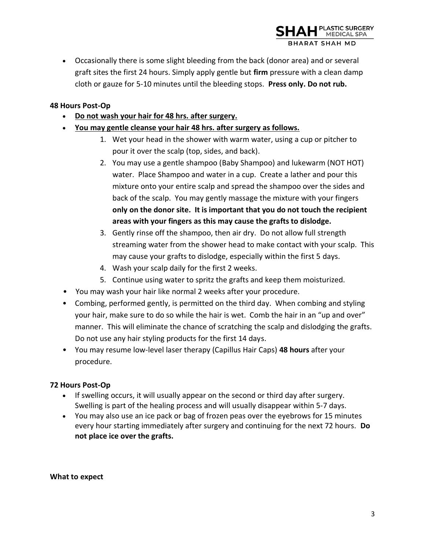• Occasionally there is some slight bleeding from the back (donor area) and or several graft sites the first 24 hours. Simply apply gentle but **firm** pressure with a clean damp cloth or gauze for 5-10 minutes until the bleeding stops. **Press only. Do not rub.**

### **48 Hours Post-Op**

- **Do not wash your hair for 48 hrs. after surgery.**
- **You may gentle cleanse your hair 48 hrs. after surgery as follows.**
	- 1. Wet your head in the shower with warm water, using a cup or pitcher to pour it over the scalp (top, sides, and back).
	- 2. You may use a gentle shampoo (Baby Shampoo) and lukewarm (NOT HOT) water. Place Shampoo and water in a cup. Create a lather and pour this mixture onto your entire scalp and spread the shampoo over the sides and back of the scalp. You may gently massage the mixture with your fingers **only on the donor site. It is important that you do not touch the recipient areas with your fingers as this may cause the grafts to dislodge.**
	- 3. Gently rinse off the shampoo, then air dry. Do not allow full strength streaming water from the shower head to make contact with your scalp. This may cause your grafts to dislodge, especially within the first 5 days.
	- 4. Wash your scalp daily for the first 2 weeks.
	- 5. Continue using water to spritz the grafts and keep them moisturized.
- You may wash your hair like normal 2 weeks after your procedure.
- Combing, performed gently, is permitted on the third day. When combing and styling your hair, make sure to do so while the hair is wet. Comb the hair in an "up and over" manner. This will eliminate the chance of scratching the scalp and dislodging the grafts. Do not use any hair styling products for the first 14 days.
- You may resume low-level laser therapy (Capillus Hair Caps) **48 hours** after your procedure.

### **72 Hours Post-Op**

- If swelling occurs, it will usually appear on the second or third day after surgery. Swelling is part of the healing process and will usually disappear within 5-7 days.
- You may also use an ice pack or bag of frozen peas over the eyebrows for 15 minutes every hour starting immediately after surgery and continuing for the next 72 hours. **Do not place ice over the grafts.**

**What to expect**

PLASTIC SURGERY<br>MEDICAL SPA

**HARAT SHAH MD**